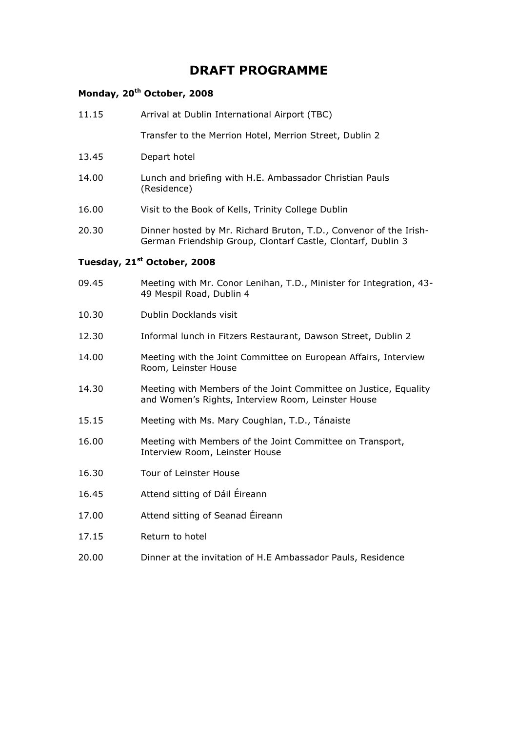## **DRAFT PROGRAMME**

## **Monday, 20th October, 2008**

| 11.15 | Arrival at Dublin International Airport (TBC)                                                                                     |
|-------|-----------------------------------------------------------------------------------------------------------------------------------|
|       | Transfer to the Merrion Hotel, Merrion Street, Dublin 2                                                                           |
| 13.45 | Depart hotel                                                                                                                      |
| 14.00 | Lunch and briefing with H.E. Ambassador Christian Pauls<br>(Residence)                                                            |
| 16.00 | Visit to the Book of Kells, Trinity College Dublin                                                                                |
| 20.30 | Dinner hosted by Mr. Richard Bruton, T.D., Convenor of the Irish-<br>German Friendship Group, Clontarf Castle, Clontarf, Dublin 3 |
|       | Tuesday, 21 <sup>st</sup> October, 2008                                                                                           |
| 09.45 | Meeting with Mr. Conor Lenihan, T.D., Minister for Integration, 43-<br>49 Mespil Road, Dublin 4                                   |
| 10.30 | Dublin Docklands visit                                                                                                            |
| 12.30 | Informal lunch in Fitzers Restaurant, Dawson Street, Dublin 2                                                                     |
| 14.00 | Meeting with the Joint Committee on European Affairs, Interview<br>Room, Leinster House                                           |
| 14.30 | Meeting with Members of the Joint Committee on Justice, Equality<br>and Women's Rights, Interview Room, Leinster House            |
| 15.15 | Meeting with Ms. Mary Coughlan, T.D., Tánaiste                                                                                    |
| 16.00 | Meeting with Members of the Joint Committee on Transport,<br>Interview Room, Leinster House                                       |
| 16.30 | Tour of Leinster House                                                                                                            |
| 16.45 | Attend sitting of Dáil Éireann                                                                                                    |
| 17.00 | Attend sitting of Seanad Éireann                                                                                                  |
| 17.15 | Return to hotel                                                                                                                   |
| 20.00 | Dinner at the invitation of H.E Ambassador Pauls, Residence                                                                       |